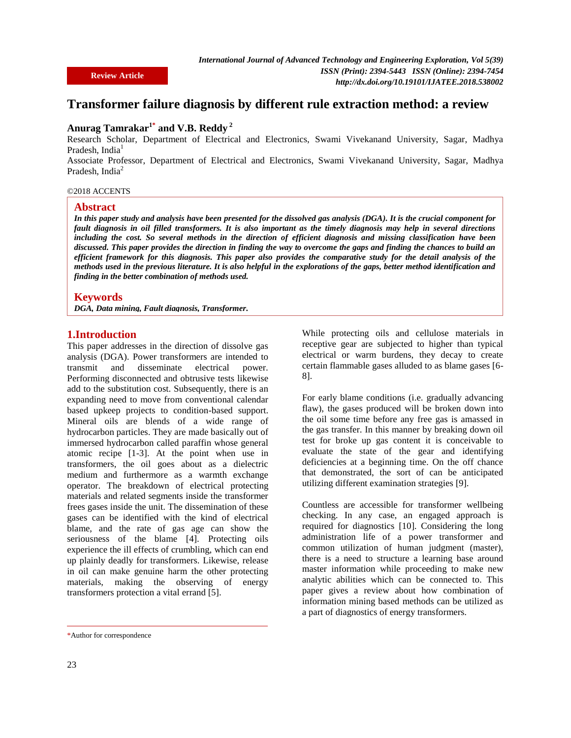**Review Article**

# **Transformer failure diagnosis by different rule extraction method: a review**

# **Anurag Tamrakar1\* and V.B. Reddy <sup>2</sup>**

Research Scholar, Department of Electrical and Electronics, Swami Vivekanand University, Sagar, Madhya Pradesh, India<sup>1</sup>

Associate Professor, Department of Electrical and Electronics, Swami Vivekanand University, Sagar, Madhya Pradesh, India<sup>2</sup>

#### ©2018 ACCENTS

#### **Abstract**

*In this paper study and analysis have been presented for the dissolved gas analysis (DGA). It is the crucial component for fault diagnosis in oil filled transformers. It is also important as the timely diagnosis may help in several directions including the cost. So several methods in the direction of efficient diagnosis and missing classification have been discussed. This paper provides the direction in finding the way to overcome the gaps and finding the chances to build an efficient framework for this diagnosis. This paper also provides the comparative study for the detail analysis of the methods used in the previous literature. It is also helpful in the explorations of the gaps, better method identification and finding in the better combination of methods used.*

### **Keywords**

*DGA, Data mining, Fault diagnosis, Transformer.*

### **1.Introduction**

This paper addresses in the direction of dissolve gas analysis (DGA). Power transformers are intended to transmit and disseminate electrical power. Performing disconnected and obtrusive tests likewise add to the substitution cost. Subsequently, there is an expanding need to move from conventional calendar based upkeep projects to condition-based support. Mineral oils are blends of a wide range of hydrocarbon particles. They are made basically out of immersed hydrocarbon called paraffin whose general atomic recipe [1-3]. At the point when use in transformers, the oil goes about as a dielectric medium and furthermore as a warmth exchange operator. The breakdown of electrical protecting materials and related segments inside the transformer frees gases inside the unit. The dissemination of these gases can be identified with the kind of electrical blame, and the rate of gas age can show the seriousness of the blame [4]. Protecting oils experience the ill effects of crumbling, which can end up plainly deadly for transformers. Likewise, release in oil can make genuine harm the other protecting materials, making the observing of energy transformers protection a vital errand [5].

While protecting oils and cellulose materials in receptive gear are subjected to higher than typical electrical or warm burdens, they decay to create certain flammable gases alluded to as blame gases [6- 8].

For early blame conditions (i.e. gradually advancing flaw), the gases produced will be broken down into the oil some time before any free gas is amassed in the gas transfer. In this manner by breaking down oil test for broke up gas content it is conceivable to evaluate the state of the gear and identifying deficiencies at a beginning time. On the off chance that demonstrated, the sort of can be anticipated utilizing different examination strategies [9].

Countless are accessible for transformer wellbeing checking. In any case, an engaged approach is required for diagnostics [10]. Considering the long administration life of a power transformer and common utilization of human judgment (master), there is a need to structure a learning base around master information while proceeding to make new analytic abilities which can be connected to. This paper gives a review about how combination of information mining based methods can be utilized as a part of diagnostics of energy transformers.

<sup>\*</sup>Author for correspondence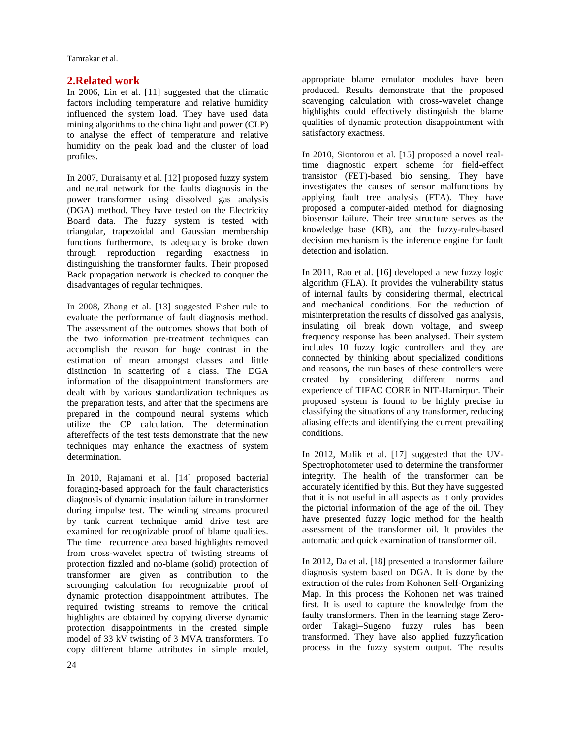Tamrakar et al.

### **2.Related work**

In 2006, Lin et al. [11] suggested that the climatic factors including temperature and relative humidity influenced the system load. They have used data mining algorithms to the china light and power (CLP) to analyse the effect of temperature and relative humidity on the peak load and the cluster of load profiles.

In 2007, Duraisamy et al. [12] proposed fuzzy system and neural network for the faults diagnosis in the power transformer using dissolved gas analysis (DGA) method. They have tested on the Electricity Board data. The fuzzy system is tested with triangular, trapezoidal and Gaussian membership functions furthermore, its adequacy is broke down through reproduction regarding exactness in distinguishing the transformer faults. Their proposed Back propagation network is checked to conquer the disadvantages of regular techniques.

In 2008, Zhang et al. [13] suggested Fisher rule to evaluate the performance of fault diagnosis method. The assessment of the outcomes shows that both of the two information pre-treatment techniques can accomplish the reason for huge contrast in the estimation of mean amongst classes and little distinction in scattering of a class. The DGA information of the disappointment transformers are dealt with by various standardization techniques as the preparation tests, and after that the specimens are prepared in the compound neural systems which utilize the CP calculation. The determination aftereffects of the test tests demonstrate that the new techniques may enhance the exactness of system determination.

In 2010, Rajamani et al. [14] proposed bacterial foraging-based approach for the fault characteristics diagnosis of dynamic insulation failure in transformer during impulse test. The winding streams procured by tank current technique amid drive test are examined for recognizable proof of blame qualities. The time– recurrence area based highlights removed from cross-wavelet spectra of twisting streams of protection fizzled and no-blame (solid) protection of transformer are given as contribution to the scrounging calculation for recognizable proof of dynamic protection disappointment attributes. The required twisting streams to remove the critical highlights are obtained by copying diverse dynamic protection disappointments in the created simple model of 33 kV twisting of 3 MVA transformers. To copy different blame attributes in simple model,

appropriate blame emulator modules have been produced. Results demonstrate that the proposed scavenging calculation with cross-wavelet change highlights could effectively distinguish the blame qualities of dynamic protection disappointment with satisfactory exactness.

In 2010, Siontorou et al. [15] proposed a novel realtime diagnostic expert scheme for field-effect transistor (FET)-based bio sensing. They have investigates the causes of sensor malfunctions by applying fault tree analysis (FTA). They have proposed a computer-aided method for diagnosing biosensor failure. Their tree structure serves as the knowledge base (KB), and the fuzzy-rules-based decision mechanism is the inference engine for fault detection and isolation.

In 2011, Rao et al. [16] developed a new fuzzy logic algorithm (FLA). It provides the vulnerability status of internal faults by considering thermal, electrical and mechanical conditions. For the reduction of misinterpretation the results of dissolved gas analysis, insulating oil break down voltage, and sweep frequency response has been analysed. Their system includes 10 fuzzy logic controllers and they are connected by thinking about specialized conditions and reasons, the run bases of these controllers were created by considering different norms and experience of TIFAC CORE in NIT-Hamirpur. Their proposed system is found to be highly precise in classifying the situations of any transformer, reducing aliasing effects and identifying the current prevailing conditions.

In 2012, Malik et al. [17] suggested that the UV-Spectrophotometer used to determine the transformer integrity. The health of the transformer can be accurately identified by this. But they have suggested that it is not useful in all aspects as it only provides the pictorial information of the age of the oil. They have presented fuzzy logic method for the health assessment of the transformer oil. It provides the automatic and quick examination of transformer oil.

In 2012, Da et al. [18] presented a transformer failure diagnosis system based on DGA. It is done by the extraction of the rules from Kohonen Self-Organizing Map. In this process the Kohonen net was trained first. It is used to capture the knowledge from the faulty transformers. Then in the learning stage Zeroorder Takagi–Sugeno fuzzy rules has been transformed. They have also applied fuzzyfication process in the fuzzy system output. The results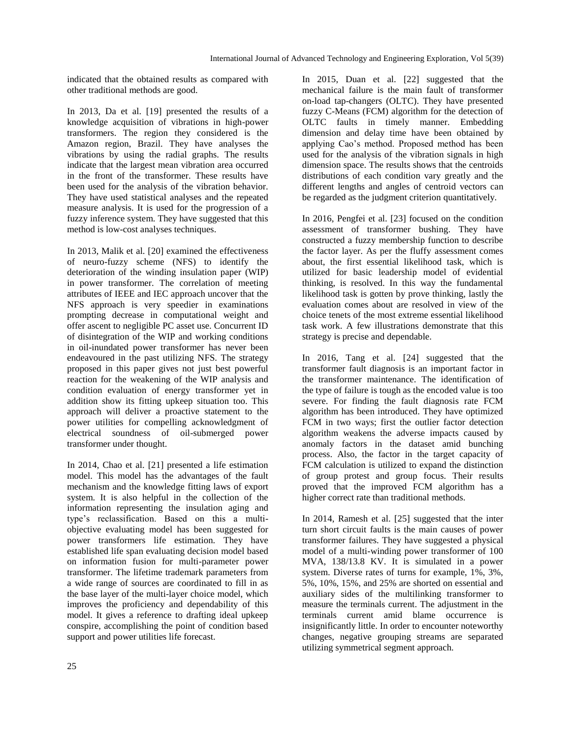indicated that the obtained results as compared with other traditional methods are good.

In 2013, Da et al. [19] presented the results of a knowledge acquisition of vibrations in high-power transformers. The region they considered is the Amazon region, Brazil. They have analyses the vibrations by using the radial graphs. The results indicate that the largest mean vibration area occurred in the front of the transformer. These results have been used for the analysis of the vibration behavior. They have used statistical analyses and the repeated measure analysis. It is used for the progression of a fuzzy inference system. They have suggested that this method is low-cost analyses techniques.

In 2013, Malik et al. [20] examined the effectiveness of neuro-fuzzy scheme (NFS) to identify the deterioration of the winding insulation paper (WIP) in power transformer. The correlation of meeting attributes of IEEE and IEC approach uncover that the NFS approach is very speedier in examinations prompting decrease in computational weight and offer ascent to negligible PC asset use. Concurrent ID of disintegration of the WIP and working conditions in oil-inundated power transformer has never been endeavoured in the past utilizing NFS. The strategy proposed in this paper gives not just best powerful reaction for the weakening of the WIP analysis and condition evaluation of energy transformer yet in addition show its fitting upkeep situation too. This approach will deliver a proactive statement to the power utilities for compelling acknowledgment of electrical soundness of oil-submerged power transformer under thought.

In 2014, Chao et al. [21] presented a life estimation model. This model has the advantages of the fault mechanism and the knowledge fitting laws of export system. It is also helpful in the collection of the information representing the insulation aging and type's reclassification. Based on this a multiobjective evaluating model has been suggested for power transformers life estimation. They have established life span evaluating decision model based on information fusion for multi-parameter power transformer. The lifetime trademark parameters from a wide range of sources are coordinated to fill in as the base layer of the multi-layer choice model, which improves the proficiency and dependability of this model. It gives a reference to drafting ideal upkeep conspire, accomplishing the point of condition based support and power utilities life forecast.

In 2015, Duan et al. [22] suggested that the mechanical failure is the main fault of transformer on-load tap-changers (OLTC). They have presented fuzzy C-Means (FCM) algorithm for the detection of OLTC faults in timely manner. Embedding dimension and delay time have been obtained by applying Cao's method. Proposed method has been used for the analysis of the vibration signals in high dimension space. The results shows that the centroids distributions of each condition vary greatly and the different lengths and angles of centroid vectors can be regarded as the judgment criterion quantitatively.

In 2016, Pengfei et al. [23] focused on the condition assessment of transformer bushing. They have constructed a fuzzy membership function to describe the factor layer. As per the fluffy assessment comes about, the first essential likelihood task, which is utilized for basic leadership model of evidential thinking, is resolved. In this way the fundamental likelihood task is gotten by prove thinking, lastly the evaluation comes about are resolved in view of the choice tenets of the most extreme essential likelihood task work. A few illustrations demonstrate that this strategy is precise and dependable.

In 2016, Tang et al. [24] suggested that the transformer fault diagnosis is an important factor in the transformer maintenance. The identification of the type of failure is tough as the encoded value is too severe. For finding the fault diagnosis rate FCM algorithm has been introduced. They have optimized FCM in two ways; first the outlier factor detection algorithm weakens the adverse impacts caused by anomaly factors in the dataset amid bunching process. Also, the factor in the target capacity of FCM calculation is utilized to expand the distinction of group protest and group focus. Their results proved that the improved FCM algorithm has a higher correct rate than traditional methods.

In 2014, Ramesh et al. [25] suggested that the inter turn short circuit faults is the main causes of power transformer failures. They have suggested a physical model of a multi-winding power transformer of 100 MVA, 138/13.8 KV. It is simulated in a power system. Diverse rates of turns for example, 1%, 3%, 5%, 10%, 15%, and 25% are shorted on essential and auxiliary sides of the multilinking transformer to measure the terminals current. The adjustment in the terminals current amid blame occurrence is insignificantly little. In order to encounter noteworthy changes, negative grouping streams are separated utilizing symmetrical segment approach.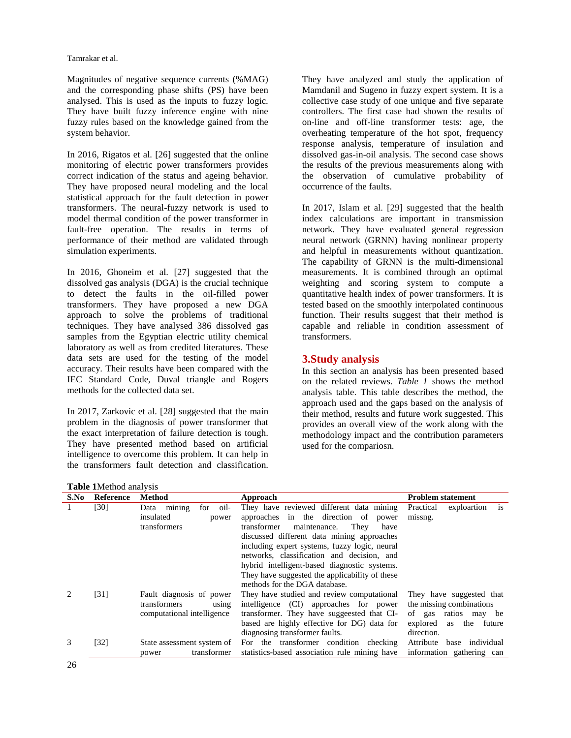Magnitudes of negative sequence currents (%MAG) and the corresponding phase shifts (PS) have been analysed. This is used as the inputs to fuzzy logic. They have built fuzzy inference engine with nine fuzzy rules based on the knowledge gained from the system behavior.

In 2016, Rigatos et al. [26] suggested that the online monitoring of electric power transformers provides correct indication of the status and ageing behavior. They have proposed neural modeling and the local statistical approach for the fault detection in power transformers. The neural-fuzzy network is used to model thermal condition of the power transformer in fault-free operation. The results in terms of performance of their method are validated through simulation experiments.

In 2016, Ghoneim et al. [27] suggested that the dissolved gas analysis (DGA) is the crucial technique to detect the faults in the oil-filled power transformers. They have proposed a new DGA approach to solve the problems of traditional techniques. They have analysed 386 dissolved gas samples from the Egyptian electric utility chemical laboratory as well as from credited literatures. These data sets are used for the testing of the model accuracy. Their results have been compared with the IEC Standard Code, Duval triangle and Rogers methods for the collected data set.

In 2017, Zarkovic et al. [28] suggested that the main problem in the diagnosis of power transformer that the exact interpretation of failure detection is tough. They have presented method based on artificial intelligence to overcome this problem. It can help in the transformers fault detection and classification.

They have analyzed and study the application of Mamdanil and Sugeno in fuzzy expert system. It is a collective case study of one unique and five separate controllers. The first case had shown the results of on-line and off-line transformer tests: age, the overheating temperature of the hot spot, frequency response analysis, temperature of insulation and dissolved gas-in-oil analysis. The second case shows the results of the previous measurements along with the observation of cumulative probability of occurrence of the faults.

In 2017, Islam et al. [29] suggested that the health index calculations are important in transmission network. They have evaluated general regression neural network (GRNN) having nonlinear property and helpful in measurements without quantization. The capability of GRNN is the multi-dimensional measurements. It is combined through an optimal weighting and scoring system to compute a quantitative health index of power transformers. It is tested based on the smoothly interpolated continuous function. Their results suggest that their method is capable and reliable in condition assessment of transformers.

# **3.Study analysis**

In this section an analysis has been presented based on the related reviews. *Table 1* shows the method analysis table. This table describes the method, the approach used and the gaps based on the analysis of their method, results and future work suggested. This provides an overall view of the work along with the methodology impact and the contribution parameters used for the compariosn.

**Table 1**Method analysis

| S.No | Reference | <b>Method</b>                 | Approach                                       | Problem statement               |  |  |
|------|-----------|-------------------------------|------------------------------------------------|---------------------------------|--|--|
|      | [30]      | mining<br>oil-<br>for<br>Data | They have reviewed different data mining       | is<br>Practical<br>exploartion  |  |  |
|      |           | insulated<br>power            | approaches in the direction of<br>power        | missng.                         |  |  |
|      |           | transformers                  | transformer<br>maintenance.<br>They<br>have    |                                 |  |  |
|      |           |                               | discussed different data mining approaches     |                                 |  |  |
|      |           |                               | including expert systems, fuzzy logic, neural  |                                 |  |  |
|      |           |                               | networks, classification and decision, and     |                                 |  |  |
|      |           |                               | hybrid intelligent-based diagnostic systems.   |                                 |  |  |
|      |           |                               | They have suggested the applicability of these |                                 |  |  |
|      |           |                               | methods for the DGA database.                  |                                 |  |  |
|      | [31]      | Fault diagnosis of power      | They have studied and review computational     | They have suggested that        |  |  |
|      |           | transformers<br>using         | intelligence (CI) approaches for power         | the missing combinations        |  |  |
|      |           | computational intelligence    | transformer. They have suggeested that CI-     | ratios may be<br>of gas         |  |  |
|      |           |                               | based are highly effective for DG) data for    | explored<br>the<br>future<br>as |  |  |
|      |           |                               | diagnosing transformer faults.                 | direction.                      |  |  |
| 3    | [32]      | State assessment system of    | For the transformer condition checking         | Attribute<br>base individual    |  |  |
|      |           | transformer<br>power          | statistics-based association rule mining have  | information gathering can       |  |  |
|      |           |                               |                                                |                                 |  |  |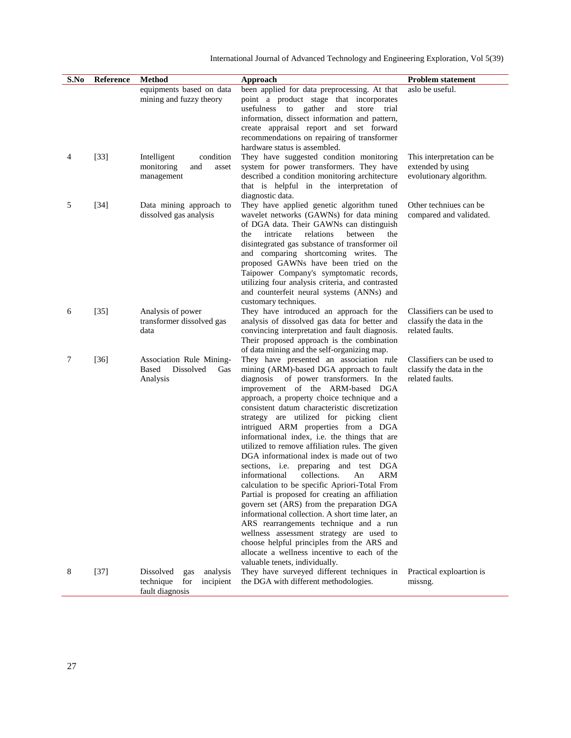| S.No | Reference | <b>Method</b>                                                                    | Approach                                                                                                                                                                                                                                                                                                                                                                                                                                                                                                                                                                                                                                                                                                                                                                                                                                                                                                                                                                                    | Problem statement                                                          |
|------|-----------|----------------------------------------------------------------------------------|---------------------------------------------------------------------------------------------------------------------------------------------------------------------------------------------------------------------------------------------------------------------------------------------------------------------------------------------------------------------------------------------------------------------------------------------------------------------------------------------------------------------------------------------------------------------------------------------------------------------------------------------------------------------------------------------------------------------------------------------------------------------------------------------------------------------------------------------------------------------------------------------------------------------------------------------------------------------------------------------|----------------------------------------------------------------------------|
|      |           | equipments based on data<br>mining and fuzzy theory                              | been applied for data preprocessing. At that<br>point a product stage that incorporates<br>store<br>usefulness to gather<br>and<br>trial<br>information, dissect information and pattern,<br>create appraisal report and set forward<br>recommendations on repairing of transformer<br>hardware status is assembled.                                                                                                                                                                                                                                                                                                                                                                                                                                                                                                                                                                                                                                                                        | aslo be useful.                                                            |
| 4    | $[33]$    | Intelligent<br>condition<br>monitoring<br>and<br>asset<br>management             | They have suggested condition monitoring<br>system for power transformers. They have<br>described a condition monitoring architecture<br>that is helpful in the interpretation of<br>diagnostic data.                                                                                                                                                                                                                                                                                                                                                                                                                                                                                                                                                                                                                                                                                                                                                                                       | This interpretation can be<br>extended by using<br>evolutionary algorithm. |
| 5    | $[34]$    | Data mining approach to<br>dissolved gas analysis                                | They have applied genetic algorithm tuned<br>wavelet networks (GAWNs) for data mining<br>of DGA data. Their GAWNs can distinguish<br>intricate<br>relations<br>between<br>the<br>the<br>disintegrated gas substance of transformer oil<br>and comparing shortcoming writes. The<br>proposed GAWNs have been tried on the<br>Taipower Company's symptomatic records,<br>utilizing four analysis criteria, and contrasted<br>and counterfeit neural systems (ANNs) and<br>customary techniques.                                                                                                                                                                                                                                                                                                                                                                                                                                                                                               | Other techniues can be<br>compared and validated.                          |
| 6    | $[35]$    | Analysis of power<br>transformer dissolved gas<br>data                           | They have introduced an approach for the<br>analysis of dissolved gas data for better and<br>convincing interpretation and fault diagnosis.<br>Their proposed approach is the combination<br>of data mining and the self-organizing map.                                                                                                                                                                                                                                                                                                                                                                                                                                                                                                                                                                                                                                                                                                                                                    | Classifiers can be used to<br>classify the data in the<br>related faults.  |
| 7    | $[36]$    | Association Rule Mining-<br>Based<br>Dissolved<br>Gas<br>Analysis                | They have presented an association rule<br>mining (ARM)-based DGA approach to fault<br>diagnosis<br>of power transformers. In the<br>improvement of the ARM-based DGA<br>approach, a property choice technique and a<br>consistent datum characteristic discretization<br>strategy are utilized for picking client<br>intrigued ARM properties from a DGA<br>informational index, i.e. the things that are<br>utilized to remove affiliation rules. The given<br>DGA informational index is made out of two<br>sections, i.e. preparing and test DGA<br>collections.<br>ARM<br>informational<br>An<br>calculation to be specific Apriori-Total From<br>Partial is proposed for creating an affiliation<br>govern set (ARS) from the preparation DGA<br>informational collection. A short time later, an<br>ARS rearrangements technique and a run<br>wellness assessment strategy are used to<br>choose helpful principles from the ARS and<br>allocate a wellness incentive to each of the | Classifiers can be used to<br>classify the data in the<br>related faults.  |
| 8    | $[37]$    | Dissolved<br>analysis<br>gas<br>technique<br>for<br>incipient<br>fault diagnosis | valuable tenets, individually.<br>They have surveyed different techniques in<br>the DGA with different methodologies.                                                                                                                                                                                                                                                                                                                                                                                                                                                                                                                                                                                                                                                                                                                                                                                                                                                                       | Practical exploartion is<br>missng.                                        |

International Journal of Advanced Technology and Engineering Exploration, Vol 5(39)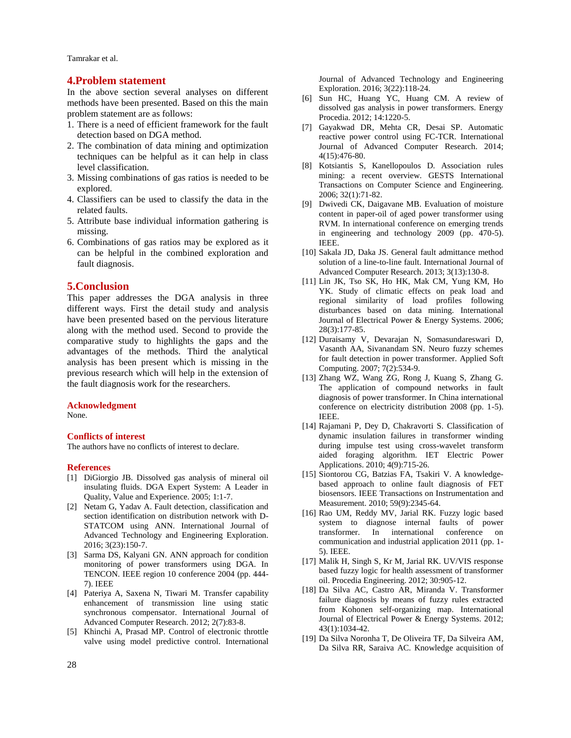Tamrakar et al.

#### **4.Problem statement**

In the above section several analyses on different methods have been presented. Based on this the main problem statement are as follows:

- 1. There is a need of efficient framework for the fault detection based on DGA method.
- 2. The combination of data mining and optimization techniques can be helpful as it can help in class level classification.
- 3. Missing combinations of gas ratios is needed to be explored.
- 4. Classifiers can be used to classify the data in the related faults.
- 5. Attribute base individual information gathering is missing.
- 6. Combinations of gas ratios may be explored as it can be helpful in the combined exploration and fault diagnosis.

## **5.Conclusion**

This paper addresses the DGA analysis in three different ways. First the detail study and analysis have been presented based on the pervious literature along with the method used. Second to provide the comparative study to highlights the gaps and the advantages of the methods. Third the analytical analysis has been present which is missing in the previous research which will help in the extension of the fault diagnosis work for the researchers.

#### **Acknowledgment**

None.

#### **Conflicts of interest**

The authors have no conflicts of interest to declare.

#### **References**

- [1] DiGiorgio JB. Dissolved gas analysis of mineral oil insulating fluids. DGA Expert System: A Leader in Quality, Value and Experience. 2005; 1:1-7.
- [2] Netam G, Yadav A. Fault detection, classification and section identification on distribution network with D-STATCOM using ANN. International Journal of Advanced Technology and Engineering Exploration. 2016; 3(23):150-7.
- [3] Sarma DS, Kalyani GN. ANN approach for condition monitoring of power transformers using DGA. In TENCON. IEEE region 10 conference 2004 (pp. 444- 7). IEEE
- [4] Pateriya A, Saxena N, Tiwari M. Transfer capability enhancement of transmission line using static synchronous compensator. International Journal of Advanced Computer Research. 2012; 2(7):83-8.
- [5] Khinchi A, Prasad MP. Control of electronic throttle valve using model predictive control. International

Journal of Advanced Technology and Engineering Exploration. 2016; 3(22):118-24.

- [6] Sun HC, Huang YC, Huang CM. A review of dissolved gas analysis in power transformers. Energy Procedia. 2012; 14:1220-5.
- [7] Gayakwad DR, Mehta CR, Desai SP. Automatic reactive power control using FC-TCR. International Journal of Advanced Computer Research. 2014; 4(15):476-80.
- [8] Kotsiantis S, Kanellopoulos D. Association rules mining: a recent overview. GESTS International Transactions on Computer Science and Engineering. 2006; 32(1):71-82.
- [9] Dwivedi CK, Daigavane MB. Evaluation of moisture content in paper-oil of aged power transformer using RVM. In international conference on emerging trends in engineering and technology 2009 (pp. 470-5). IEEE.
- [10] Sakala JD, Daka JS. General fault admittance method solution of a line-to-line fault. International Journal of Advanced Computer Research. 2013; 3(13):130-8.
- [11] Lin JK, Tso SK, Ho HK, Mak CM, Yung KM, Ho YK. Study of climatic effects on peak load and regional similarity of load profiles following disturbances based on data mining. International Journal of Electrical Power & Energy Systems. 2006; 28(3):177-85.
- [12] Duraisamy V, Devarajan N, Somasundareswari D, Vasanth AA, Sivanandam SN. Neuro fuzzy schemes for fault detection in power transformer. Applied Soft Computing. 2007; 7(2):534-9.
- [13] Zhang WZ, Wang ZG, Rong J, Kuang S, Zhang G. The application of compound networks in fault diagnosis of power transformer. In China international conference on electricity distribution 2008 (pp. 1-5). IEEE.
- [14] Rajamani P, Dey D, Chakravorti S. Classification of dynamic insulation failures in transformer winding during impulse test using cross-wavelet transform aided foraging algorithm. IET Electric Power Applications. 2010; 4(9):715-26.
- [15] Siontorou CG, Batzias FA, Tsakiri V. A knowledgebased approach to online fault diagnosis of FET biosensors. IEEE Transactions on Instrumentation and Measurement. 2010; 59(9):2345-64.
- [16] Rao UM, Reddy MV, Jarial RK. Fuzzy logic based system to diagnose internal faults of power transformer. In international conference on communication and industrial application 2011 (pp. 1- 5). IEEE.
- [17] Malik H, Singh S, Kr M, Jarial RK. UV/VIS response based fuzzy logic for health assessment of transformer oil. Procedia Engineering. 2012; 30:905-12.
- [18] Da Silva AC, Castro AR, Miranda V. Transformer failure diagnosis by means of fuzzy rules extracted from Kohonen self-organizing map. International Journal of Electrical Power & Energy Systems. 2012; 43(1):1034-42.
- [19] Da Silva Noronha T, De Oliveira TF, Da Silveira AM, Da Silva RR, Saraiva AC. Knowledge acquisition of